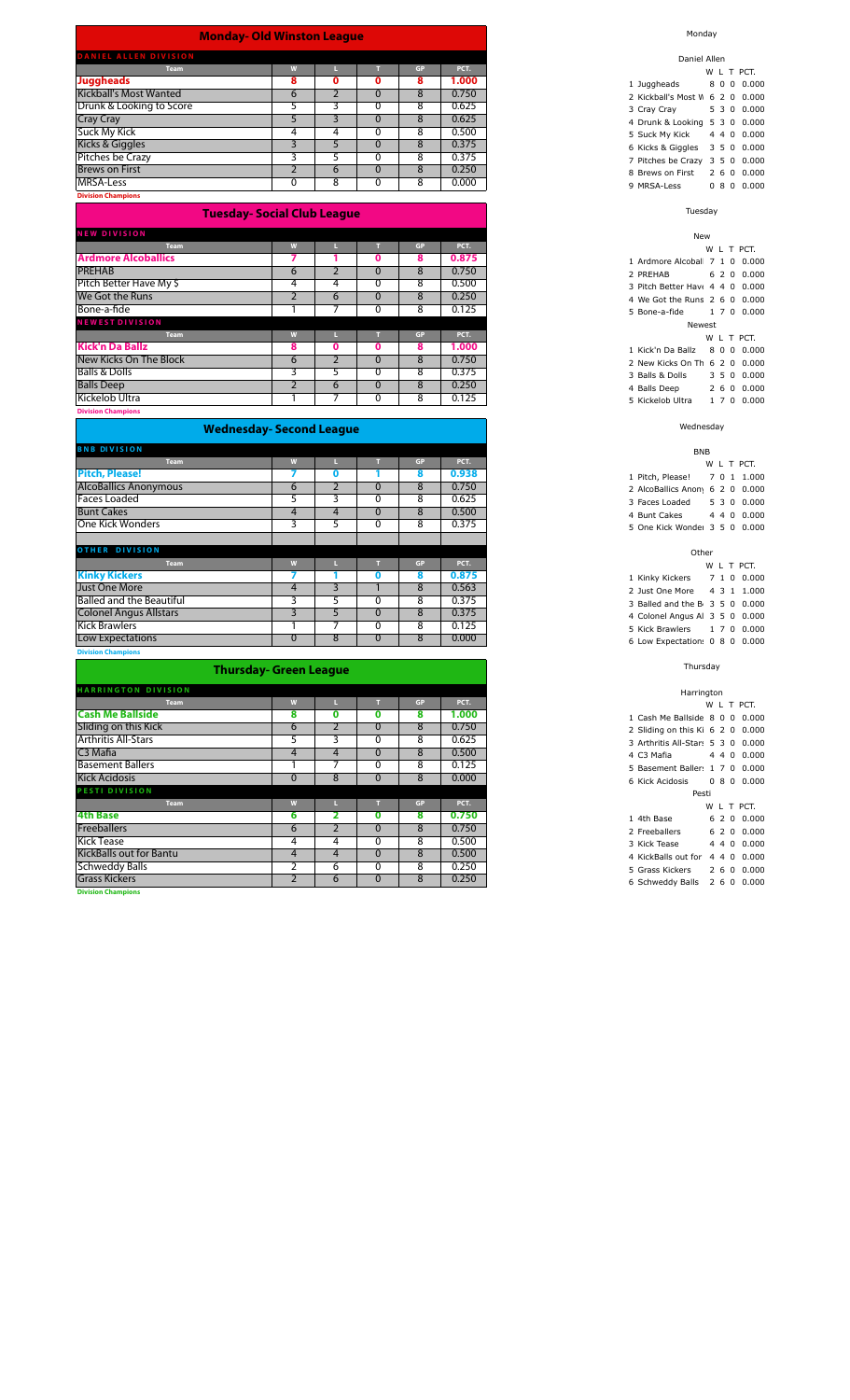### **Monday- Old Winston League**

| DANIEL ALLEN DIVISION    |   |   |        |       |
|--------------------------|---|---|--------|-------|
| Team                     |   |   | GP     | PCT.  |
| <b>Juggheads</b>         | ۰ |   | 8      | 1.000 |
| Kickball's Most Wanted   | b |   | ດ<br>n | 0.750 |
| Drunk & Looking to Score |   |   | 8      | 0.625 |
| <b>Cray Cray</b>         |   |   |        | 0.625 |
| Suck My Kick             |   |   |        | 0.500 |
| Kicks & Giggles          |   |   | 8      | 0.375 |
| Pitches be Crazy         |   |   | 8      | 0.375 |
| <b>Brews on First</b>    |   | 6 |        | 0.250 |
| MRSA-Less                |   | 8 |        | 0.000 |

**Division Champions**

### **Tuesday- Social Club League**

| <b>NEW DIVISION</b>        |   |   |   |           |       |
|----------------------------|---|---|---|-----------|-------|
| <b>Team</b>                | W |   |   | <b>GP</b> | PCT.  |
| <b>Ardmore Alcoballics</b> |   |   | 0 | 8         | 0.875 |
| <b>PREHAB</b>              | 6 |   |   | 8         | 0.750 |
| Pitch Better Have My \$    | 4 | 4 |   | 8         | 0.500 |
| We Got the Runs            |   | 6 |   | 8         | 0.250 |
| Bone-a-fide                |   |   |   | 8         | 0.125 |
| <b>NEWEST DIVISION</b>     |   |   |   |           |       |
| <b>Team</b>                | W |   |   | <b>GP</b> | PCT.  |
| Kick'n Da Ballz            | 8 | 0 | 0 | 8         | 1.000 |
| New Kicks On The Block     | 6 |   |   | 8         | 0.750 |
| <b>Balls &amp; Dolls</b>   |   |   |   | 8         | 0.375 |
| <b>Balls Deep</b>          |   | 6 |   | 8         | 0.250 |
| Kickelob Ultra             |   |   |   | 8         | 0.125 |
| Districtor Champions       |   |   |   |           |       |

#### **Division Champions**

# **Wednesday- Second League**

| <b>BNB DIVISION</b>             |          |   |           |       |
|---------------------------------|----------|---|-----------|-------|
| <b>Team</b>                     | W        |   | <b>GP</b> | PCT.  |
| <b>Pitch, Please!</b>           |          |   | 8         | 0.938 |
| <b>AlcoBallics Anonymous</b>    | 6        |   | 8         | 0.750 |
| <b>Faces Loaded</b>             | כ        |   | 8         | 0.625 |
| <b>Bunt Cakes</b>               | 4        | 4 | 8         | 0.500 |
| One Kick Wonders                | 3        | ⊃ | 8         | 0.375 |
|                                 |          |   |           |       |
| <b>OTHER DIVISION</b>           |          |   |           |       |
| <b>Team</b>                     | W        |   | <b>GP</b> | PCT.  |
| <b>Kinky Kickers</b>            |          |   | 8         | 0.875 |
| Just One More                   | 4        | ∍ | 8         | 0.563 |
| <b>Balled and the Beautiful</b> | 3        |   | 8         | 0.375 |
| <b>Colonel Angus Allstars</b>   | 3        | ∍ | 8         | 0.375 |
| <b>Kick Brawlers</b>            |          |   | 8         | 0.125 |
| Low Expectations                | $\Omega$ | 8 | 8         | 0.000 |

**n** Cha

# **Thursday- Green League**

| <b>HARRINGTON DIVISION</b>     |                |   |   |    |       |
|--------------------------------|----------------|---|---|----|-------|
| <b>Team</b>                    | W              |   |   | GP | PCT.  |
| <b>Cash Me Ballside</b>        | 8              | O | n | 8  | 1.000 |
| Sliding on this Kick           | 6              |   |   | 8  | 0.750 |
| <b>Arthritis All-Stars</b>     | $\mathcal{D}$  |   |   | 8  | 0.625 |
| C <sub>3</sub> Mafia           | 4              | 4 | 0 | 8  | 0.500 |
| <b>Basement Ballers</b>        |                |   |   | 8  | 0.125 |
| <b>Kick Acidosis</b>           | $\Omega$       | 8 |   | 8  | 0.000 |
| PESTI DIVISION                 |                |   |   |    |       |
| <b>Team</b>                    | W              |   |   | GP | PCT.  |
| <b>4th Base</b>                | 6              |   | 0 | 8  | 0.750 |
| <b>Freeballers</b>             | 6              |   |   | 8  | 0.750 |
| <b>Kick Tease</b>              | 4              | 4 |   | 8  | 0.500 |
| <b>KickBalls out for Bantu</b> | 4              | 4 | Ü | 8  | 0.500 |
| <b>Schweddy Balls</b>          | $\overline{2}$ | 6 | 0 | 8  | 0.250 |
| <b>Grass Kickers</b>           | 2              | 6 | 0 | 8  | 0.250 |
| <b>Division Champions</b>      |                |   |   |    |       |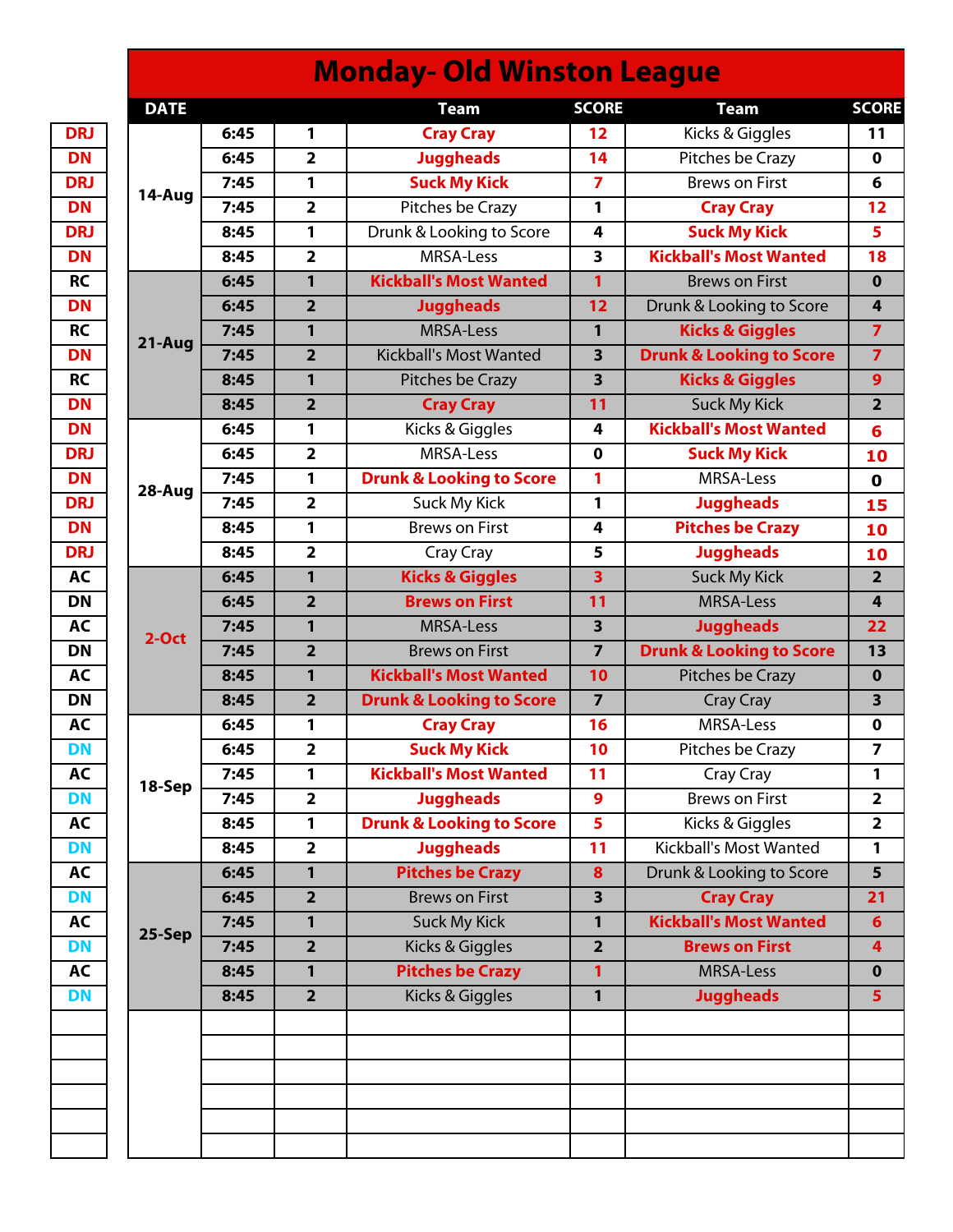| <b>DATE</b> |      |                         | <b>Team</b>                         | <b>SCORE</b>            | <b>Team</b>                         |
|-------------|------|-------------------------|-------------------------------------|-------------------------|-------------------------------------|
|             | 6:45 | 1                       | <b>Cray Cray</b>                    | 12                      | Kicks & Giggles                     |
|             | 6:45 | $\overline{2}$          | <b>Juggheads</b>                    | 14                      | Pitches be Crazy                    |
|             | 7:45 | 1                       | <b>Suck My Kick</b>                 | $\overline{7}$          | <b>Brews on First</b>               |
| 14-Aug      | 7:45 | $\overline{\mathbf{2}}$ | Pitches be Crazy                    | 1                       | <b>Cray Cray</b>                    |
|             | 8:45 | 1                       | Drunk & Looking to Score            | 4                       | <b>Suck My Kick</b>                 |
|             | 8:45 | $\overline{2}$          | MRSA-Less                           | 3                       | <b>Kickball's Most Wanted</b>       |
|             | 6:45 | 1                       | <b>Kickball's Most Wanted</b>       | $\mathbf{1}$            | <b>Brews on First</b>               |
|             | 6:45 | $\overline{2}$          | <b>Juggheads</b>                    | 12                      | Drunk & Looking to Score            |
|             | 7:45 | $\mathbf{1}$            | <b>MRSA-Less</b>                    | $\mathbf{1}$            | <b>Kicks &amp; Giggles</b>          |
| 21-Aug      | 7:45 | $\overline{2}$          | <b>Kickball's Most Wanted</b>       | $\overline{\mathbf{3}}$ | <b>Drunk &amp; Looking to Score</b> |
|             | 8:45 | $\mathbf{1}$            | Pitches be Crazy                    | $\overline{\mathbf{3}}$ | <b>Kicks &amp; Giggles</b>          |
|             | 8:45 | $\overline{2}$          | <b>Cray Cray</b>                    | 11                      | <b>Suck My Kick</b>                 |
|             | 6:45 | 1                       | Kicks & Giggles                     | 4                       | <b>Kickball's Most Wanted</b>       |
|             | 6:45 | $\overline{\mathbf{2}}$ | MRSA-Less                           | $\mathbf 0$             | <b>Suck My Kick</b>                 |
|             | 7:45 | 1                       | <b>Drunk &amp; Looking to Score</b> | 1                       | MRSA-Less                           |
| 28-Aug      | 7:45 | $\overline{\mathbf{2}}$ | Suck My Kick                        | 1                       | <b>Juggheads</b>                    |
|             | 8:45 | 1                       | <b>Brews on First</b>               | 4                       | <b>Pitches be Crazy</b>             |
|             | 8:45 | $\overline{\mathbf{2}}$ | Cray Cray                           | 5                       | <b>Juggheads</b>                    |
|             | 6:45 | $\mathbf{1}$            | <b>Kicks &amp; Giggles</b>          | $\overline{\mathbf{3}}$ | <b>Suck My Kick</b>                 |
|             | 6:45 | $\overline{\mathbf{2}}$ | <b>Brews on First</b>               | 11<br><b>MRSA-Less</b>  |                                     |
|             | 7:45 | 1                       | <b>MRSA-Less</b>                    | $\overline{\mathbf{3}}$ | <b>Juggheads</b>                    |
| $2-Oct$     | 7:45 | $\overline{2}$          | <b>Brews on First</b>               | $\overline{7}$          | <b>Drunk &amp; Looking to Score</b> |
|             | 8:45 | $\mathbf{1}$            | <b>Kickball's Most Wanted</b>       | 10                      | Pitches be Crazy                    |
|             | 8:45 | $\overline{2}$          | <b>Drunk &amp; Looking to Score</b> | $\overline{7}$          | Cray Cray                           |
|             | 6:45 | $\mathbf{1}$            | <b>Cray Cray</b>                    | 16                      | MRSA-Less                           |
|             | 6:45 | $\overline{2}$          | <b>Suck My Kick</b>                 | 10                      | Pitches be Crazy                    |
|             | 7:45 | 1                       | <b>Kickball's Most Wanted</b>       | 11                      | Cray Cray                           |
| 18-Sep      | 7:45 | $\overline{\mathbf{2}}$ | <b>Juggheads</b>                    | 9                       | <b>Brews on First</b>               |
|             | 8:45 | $\mathbf{1}$            | <b>Drunk &amp; Looking to Score</b> | 5                       | Kicks & Giggles                     |
|             | 8:45 | $\overline{\mathbf{2}}$ | <b>Juggheads</b>                    | 11                      | <b>Kickball's Most Wanted</b>       |
|             | 6:45 | $\mathbf{1}$            | <b>Pitches be Crazy</b>             | 8                       | Drunk & Looking to Score            |
|             | 6:45 | $\overline{2}$          | <b>Brews on First</b>               | $\overline{\mathbf{3}}$ | <b>Cray Cray</b>                    |
|             | 7:45 | $\mathbf{1}$            | <b>Suck My Kick</b>                 | $\mathbf{1}$            | <b>Kickball's Most Wanted</b>       |
| 25-Sep      | 7:45 | $\overline{2}$          | Kicks & Giggles                     | $\overline{2}$          | <b>Brews on First</b>               |
|             | 8:45 | 1                       | <b>Pitches be Crazy</b>             | 1                       | MRSA-Less                           |
|             | 8:45 | $\overline{2}$          | Kicks & Giggles                     | $\mathbf{1}$            | <b>Juggheads</b>                    |
|             |      |                         |                                     |                         |                                     |
|             |      |                         |                                     |                         |                                     |
|             |      |                         |                                     |                         |                                     |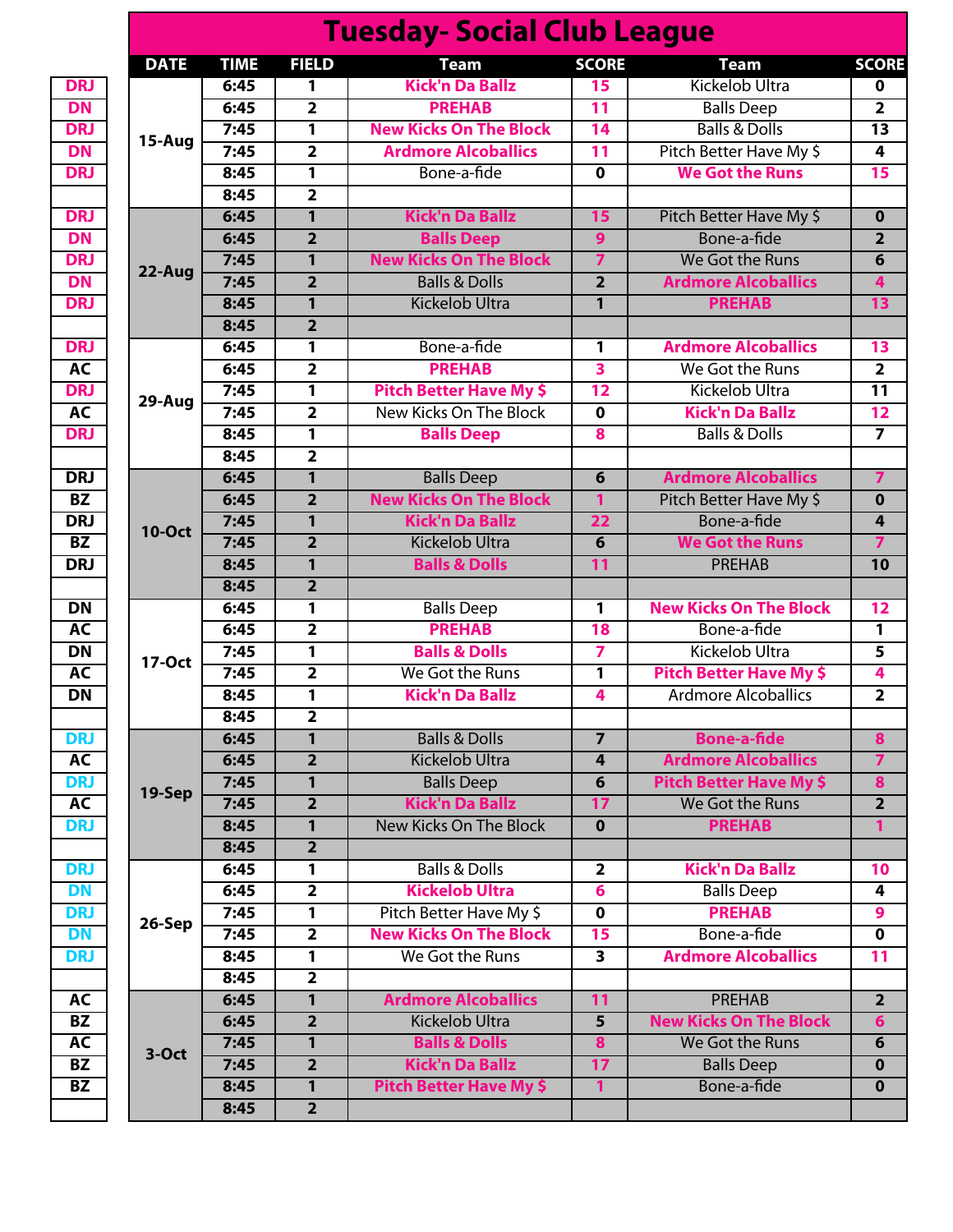|               |             |                         | <b>Tuesday- Social Club League</b> |                         |                                |
|---------------|-------------|-------------------------|------------------------------------|-------------------------|--------------------------------|
| <b>DATE</b>   | <b>TIME</b> | <b>FIELD</b>            | <b>Team</b>                        | <b>SCORE</b>            | <b>Team</b>                    |
|               | 6:45        | 1                       | <b>Kick'n Da Ballz</b>             | 15                      | Kickelob Ultra                 |
|               | 6:45        | $\overline{2}$          | <b>PREHAB</b>                      | 11                      | <b>Balls Deep</b>              |
| 15-Aug        | 7:45        | $\overline{1}$          | <b>New Kicks On The Block</b>      | $\overline{14}$         | <b>Balls &amp; Dolls</b>       |
|               | 7:45        | $\overline{2}$          | <b>Ardmore Alcoballics</b>         | 11                      | Pitch Better Have My \$        |
|               | 8:45        | 1                       | Bone-a-fide                        | $\overline{\mathbf{0}}$ | <b>We Got the Runs</b>         |
|               | 8:45        | $\overline{2}$          |                                    |                         |                                |
|               | 6:45        | $\overline{1}$          | <b>Kick'n Da Ballz</b>             | 15                      | Pitch Better Have My \$        |
|               | 6:45        | $\overline{2}$          | <b>Balls Deep</b>                  | $\overline{9}$          | Bone-a-fide                    |
| 22-Aug        | 7:45        | $\mathbf{1}$            | <b>New Kicks On The Block</b>      | $\overline{\mathbf{z}}$ | We Got the Runs                |
|               | 7:45        | $\overline{2}$          | <b>Balls &amp; Dolls</b>           | $\overline{2}$          | <b>Ardmore Alcoballics</b>     |
|               | 8:45        | $\overline{1}$          | <b>Kickelob Ultra</b>              | $\overline{1}$          | <b>PREHAB</b>                  |
|               | 8:45        | $\overline{2}$          |                                    |                         |                                |
|               | 6:45        | 1                       | Bone-a-fide                        | 1                       | <b>Ardmore Alcoballics</b>     |
|               | 6:45        | $\overline{2}$          | <b>PREHAB</b>                      | $\overline{\mathbf{3}}$ | We Got the Runs                |
| 29-Aug        | 7:45        | 1                       | <b>Pitch Better Have My \$</b>     | $\overline{12}$         | Kickelob Ultra                 |
|               | 7:45        | $\overline{\mathbf{2}}$ | New Kicks On The Block             | $\mathbf 0$             | <b>Kick'n Da Ballz</b>         |
|               | 8:45        | $\overline{1}$          | <b>Balls Deep</b>                  | $\overline{\mathbf{8}}$ | <b>Balls &amp; Dolls</b>       |
|               | 8:45        | $\overline{2}$          |                                    |                         |                                |
|               | 6:45        | $\mathbf{1}$            | <b>Balls Deep</b>                  | 6                       | <b>Ardmore Alcoballics</b>     |
|               | 6:45        | $\overline{2}$          | <b>New Kicks On The Block</b>      | $\mathbf{1}$            | Pitch Better Have My \$        |
| <b>10-Oct</b> | 7:45        | $\overline{1}$          | <b>Kick'n Da Ballz</b>             | $\overline{22}$         | Bone-a-fide                    |
|               | 7:45        | $\overline{2}$          | <b>Kickelob Ultra</b>              | 6                       | <b>We Got the Runs</b>         |
|               | 8:45        | 1                       | <b>Balls &amp; Dolls</b>           | $\overline{11}$         | <b>PREHAB</b>                  |
|               | 8:45        | $\overline{2}$          |                                    |                         |                                |
|               | 6:45        | 1                       | <b>Balls Deep</b>                  | 1                       | <b>New Kicks On The Block</b>  |
|               | 6:45        | $\overline{2}$          | <b>PREHAB</b>                      | $\overline{18}$         | Bone-a-fide                    |
| 17-Oct        | 7:45        | 1                       | <b>Balls &amp; Dolls</b>           | 7                       | Kickelob Ultra                 |
|               | 7:45        | $\overline{2}$          | We Got the Runs                    | $\overline{1}$          | <b>Pitch Better Have My \$</b> |
|               | 8:45        | $\overline{\mathbf{1}}$ | <b>Kick'n Da Ballz</b>             | 4                       | <b>Ardmore Alcoballics</b>     |
|               | 8:45        | $\overline{2}$          |                                    |                         |                                |
|               | 6:45        | $\mathbf{1}$            | <b>Balls &amp; Dolls</b>           | $\overline{7}$          | <b>Bone-a-fide</b>             |
|               | 6:45        | $\overline{2}$          | <b>Kickelob Ultra</b>              | 4                       | <b>Ardmore Alcoballics</b>     |
| 19-Sep        | 7:45        | $\mathbf{1}$            | <b>Balls Deep</b>                  | $\overline{\mathbf{6}}$ | <b>Pitch Better Have My \$</b> |
|               | 7:45        | $\overline{2}$          | <b>Kick'n Da Ballz</b>             | 17                      | We Got the Runs                |
|               | 8:45        | $\mathbf{1}$            | New Kicks On The Block             | $\overline{\mathbf{0}}$ | <b>PREHAB</b>                  |
|               | 8:45        | $\overline{2}$          |                                    |                         |                                |
|               | 6:45        | 1                       | <b>Balls &amp; Dolls</b>           | $\overline{\mathbf{2}}$ | <b>Kick'n Da Ballz</b>         |
|               | 6:45        | $\overline{2}$          | <b>Kickelob Ultra</b>              | $6\overline{6}$         | <b>Balls Deep</b>              |
|               | 7:45        | $\overline{1}$          | Pitch Better Have My \$            | $\overline{\mathbf{0}}$ | <b>PREHAB</b>                  |
| 26-Sep        | 7:45        | $\overline{2}$          | <b>New Kicks On The Block</b>      | 15                      | Bone-a-fide                    |
|               | 8:45        | 1                       | We Got the Runs                    | $\overline{\mathbf{3}}$ | <b>Ardmore Alcoballics</b>     |
|               | 8:45        | $\overline{2}$          |                                    |                         |                                |
|               | 6:45        | 1                       | <b>Ardmore Alcoballics</b>         | $\overline{11}$         | <b>PREHAB</b>                  |
|               | 6:45        | $\overline{2}$          | <b>Kickelob Ultra</b>              | $\overline{5}$          | <b>New Kicks On The Block</b>  |
|               | 7:45        | $\mathbf{1}$            | <b>Balls &amp; Dolls</b>           | 8                       | We Got the Runs                |
| $3-Oct$       | 7:45        | $\overline{2}$          | <b>Kick'n Da Ballz</b>             | $\overline{17}$         | <b>Balls Deep</b>              |
|               |             |                         |                                    |                         |                                |
|               | 8:45        | $\mathbf{1}$            | <b>Pitch Better Have My \$</b>     | $\mathbf{1}$            | Bone-a-fide                    |

ľ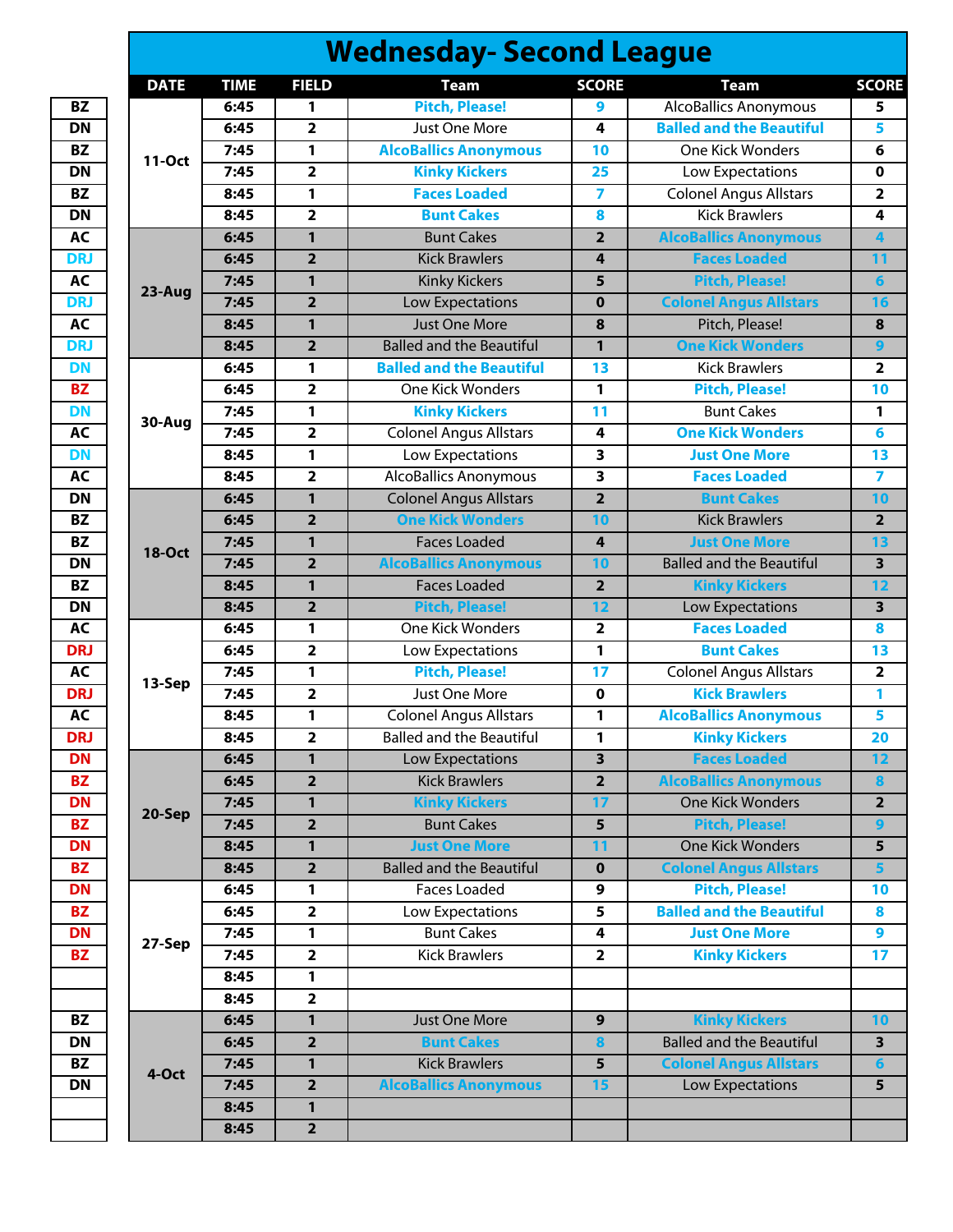|               |             |                         | <b>Wednesday- Second League</b> |                         |                                 |
|---------------|-------------|-------------------------|---------------------------------|-------------------------|---------------------------------|
| <b>DATE</b>   | <b>TIME</b> | <b>FIELD</b>            | <b>Team</b>                     | <b>SCORE</b>            | <b>Team</b>                     |
|               | 6:45        | 1                       | <b>Pitch, Please!</b>           | 9                       | <b>AlcoBallics Anonymous</b>    |
|               | 6:45        | $\overline{\mathbf{2}}$ | Just One More                   | 4                       | <b>Balled and the Beautiful</b> |
|               | 7:45        | 1                       | <b>AlcoBallics Anonymous</b>    | 10                      | <b>One Kick Wonders</b>         |
| 11-Oct        | 7:45        | $\overline{2}$          | <b>Kinky Kickers</b>            | 25                      | Low Expectations                |
|               | 8:45        | 1                       | <b>Faces Loaded</b>             | $\overline{\mathbf{z}}$ | <b>Colonel Angus Allstars</b>   |
|               | 8:45        | $\overline{\mathbf{2}}$ | <b>Bunt Cakes</b>               | 8                       | <b>Kick Brawlers</b>            |
|               | 6:45        | 1                       | <b>Bunt Cakes</b>               | $\overline{2}$          | <b>AlcoBallics Anonymous</b>    |
|               | 6:45        | $\overline{2}$          | <b>Kick Brawlers</b>            | 4                       | <b>Faces Loaded</b>             |
|               | 7:45        | $\mathbf{1}$            | <b>Kinky Kickers</b>            | 5                       | <b>Pitch, Please!</b>           |
| 23-Aug        | 7:45        | $\overline{2}$          | Low Expectations                | $\bf{0}$                | <b>Colonel Angus Allstars</b>   |
|               | 8:45        | $\mathbf{1}$            | <b>Just One More</b>            | 8                       | Pitch, Please!                  |
|               | 8:45        | $\overline{2}$          | <b>Balled and the Beautiful</b> | $\mathbf{1}$            | <b>One Kick Wonders</b>         |
|               | 6:45        | 1                       | <b>Balled and the Beautiful</b> | 13                      | <b>Kick Brawlers</b>            |
|               | 6:45        | $\overline{\mathbf{2}}$ | One Kick Wonders                | 1                       | <b>Pitch, Please!</b>           |
|               | 7:45        | 1                       | <b>Kinky Kickers</b>            | 11                      | <b>Bunt Cakes</b>               |
| 30-Aug        | 7:45        | $\overline{2}$          | <b>Colonel Angus Allstars</b>   | 4                       | <b>One Kick Wonders</b>         |
|               | 8:45        | 1                       | Low Expectations                | 3                       | <b>Just One More</b>            |
|               | 8:45        | $\overline{2}$          | <b>AlcoBallics Anonymous</b>    | 3                       | <b>Faces Loaded</b>             |
|               | 6:45        | $\mathbf{1}$            | <b>Colonel Angus Allstars</b>   | $\overline{2}$          | <b>Bunt Cakes</b>               |
|               | 6:45        | $\overline{\mathbf{2}}$ | <b>One Kick Wonders</b>         | 10                      | <b>Kick Brawlers</b>            |
|               | 7:45        | $\mathbf{1}$            | <b>Faces Loaded</b>             | 4                       | <b>Just One More</b>            |
| <b>18-Oct</b> | 7:45        | $\overline{2}$          | <b>AlcoBallics Anonymous</b>    | 10                      | <b>Balled and the Beautiful</b> |
|               | 8:45        | 1                       | <b>Faces Loaded</b>             | $\overline{2}$          | <b>Kinky Kickers</b>            |
|               | 8:45        | $\overline{2}$          | <b>Pitch, Please!</b>           | 12                      | Low Expectations                |
|               | 6:45        | 1                       | One Kick Wonders                | $\overline{\mathbf{2}}$ | <b>Faces Loaded</b>             |
|               | 6:45        | $\overline{2}$          | Low Expectations                | 1                       | <b>Bunt Cakes</b>               |
|               | 7:45        | 1                       | <b>Pitch, Please!</b>           | 17                      | <b>Colonel Angus Allstars</b>   |
| 13-Sep        | 7:45        | $\overline{\mathbf{2}}$ | Just One More                   | 0                       | <b>Kick Brawlers</b>            |
|               | 8:45        | 1                       | <b>Colonel Angus Allstars</b>   | 1                       | <b>AlcoBallics Anonymous</b>    |
|               | 8:45        | $\overline{\mathbf{2}}$ | <b>Balled and the Beautiful</b> | 1                       | <b>Kinky Kickers</b>            |
|               | 6:45        | $\mathbf{1}$            | Low Expectations                | $\overline{\mathbf{3}}$ | <b>Faces Loaded</b>             |
|               | 6:45        | $\overline{2}$          | <b>Kick Brawlers</b>            | $\overline{2}$          | <b>AlcoBallics Anonymous</b>    |
|               | 7:45        | $\mathbf{1}$            | <b>Kinky Kickers</b>            | 17                      | <b>One Kick Wonders</b>         |
| 20-Sep        | 7:45        | $\overline{2}$          | <b>Bunt Cakes</b>               | $\overline{5}$          | <b>Pitch, Please!</b>           |
|               | 8:45        | 1                       | <b>Just One More</b>            | 11                      | <b>One Kick Wonders</b>         |
|               | 8:45        | $\overline{2}$          | <b>Balled and the Beautiful</b> | $\mathbf 0$             | <b>Colonel Angus Allstars</b>   |
|               | 6:45        | 1                       | <b>Faces Loaded</b>             | 9                       | <b>Pitch, Please!</b>           |
|               | 6:45        | $\overline{\mathbf{2}}$ | Low Expectations                | 5                       | <b>Balled and the Beautiful</b> |
|               | 7:45        | 1                       | <b>Bunt Cakes</b>               | 4                       | <b>Just One More</b>            |
| 27-Sep        | 7:45        | $\overline{2}$          | <b>Kick Brawlers</b>            | $\overline{2}$          | <b>Kinky Kickers</b>            |
|               | 8:45        | 1                       |                                 |                         |                                 |
|               | 8:45        | $\overline{\mathbf{2}}$ |                                 |                         |                                 |
|               | 6:45        | $\mathbf{1}$            | Just One More                   | 9                       | <b>Kinky Kickers</b>            |
|               | 6:45        | $\overline{\mathbf{2}}$ | <b>Bunt Cakes</b>               | 8                       | <b>Balled and the Beautiful</b> |
|               | 7:45        | $\mathbf{1}$            | <b>Kick Brawlers</b>            | 5                       | <b>Colonel Angus Allstars</b>   |
| 4-Oct         | 7:45        | $\overline{2}$          | <b>AlcoBallics Anonymous</b>    | 15                      | Low Expectations                |
|               | 8:45        | 1                       |                                 |                         |                                 |
|               |             |                         |                                 |                         |                                 |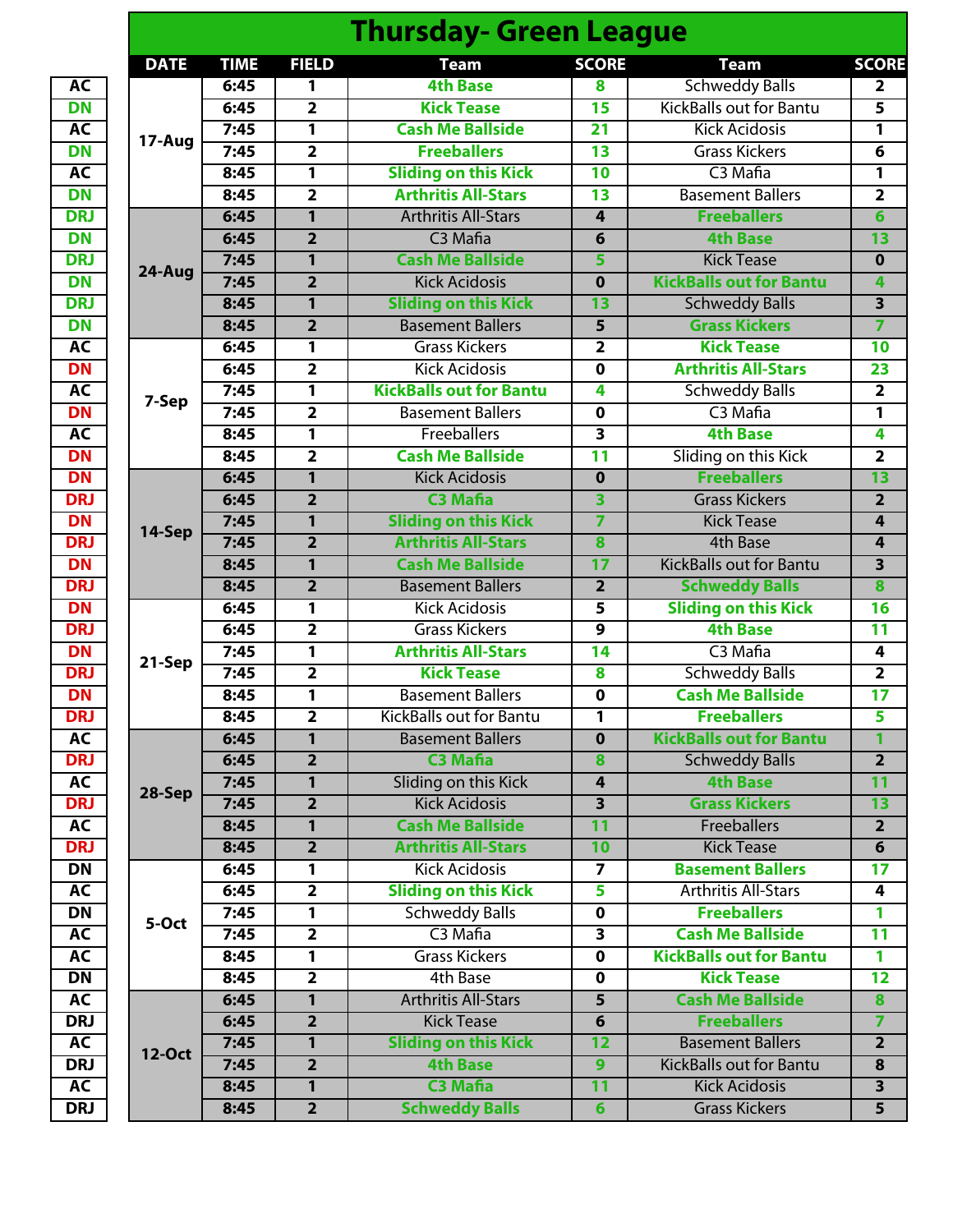|                         |               |             |                         | <b>Thursday- Green League</b>  |                         |                                |                           |
|-------------------------|---------------|-------------|-------------------------|--------------------------------|-------------------------|--------------------------------|---------------------------|
|                         | <b>DATE</b>   | <b>TIME</b> | <b>FIELD</b>            | <b>Team</b>                    | <b>SCORE</b>            | <b>Team</b>                    | <b>SCORE</b>              |
| AC                      |               | 6:45        | 1                       | <b>4th Base</b>                | 8                       | <b>Schweddy Balls</b>          | $\overline{2}$            |
| <b>DN</b>               |               | 6:45        | $\overline{2}$          | <b>Kick Tease</b>              | 15                      | <b>KickBalls out for Bantu</b> | 5                         |
| AC                      |               | 7:45        | $\overline{1}$          | <b>Cash Me Ballside</b>        | $\overline{21}$         | <b>Kick Acidosis</b>           | $\mathbf{1}$              |
| <b>DN</b>               | 17-Aug        | 7:45        | $\overline{2}$          | <b>Freeballers</b>             | $\overline{13}$         | <b>Grass Kickers</b>           | $\overline{6}$            |
| AC                      |               | 8:45        | $\overline{\mathbf{1}}$ | <b>Sliding on this Kick</b>    | $\overline{10}$         | C <sub>3</sub> Mafia           | 1                         |
| <b>DN</b>               |               | 8:45        | $\overline{2}$          | <b>Arthritis All-Stars</b>     | $\overline{13}$         | <b>Basement Ballers</b>        | $\overline{2}$            |
| <b>DRJ</b>              |               | 6:45        | $\overline{1}$          | <b>Arthritis All-Stars</b>     | 4                       | <b>Freeballers</b>             | $\overline{6}$            |
| <b>DN</b>               |               | 6:45        | $\overline{2}$          | C <sub>3</sub> Mafia           | 6                       | <b>4th Base</b>                | 13                        |
| <b>DRJ</b><br><b>DN</b> |               | 7:45        | 1                       | <b>Cash Me Ballside</b>        | 5                       | <b>Kick Tease</b>              | $\mathbf 0$               |
|                         | 24-Aug        | 7:45        | $\overline{2}$          | <b>Kick Acidosis</b>           | $\mathbf 0$             | <b>KickBalls out for Bantu</b> | 4                         |
|                         |               | 8:45        | $\overline{1}$          | <b>Sliding on this Kick</b>    | 13                      | <b>Schweddy Balls</b>          | $\overline{\mathbf{3}}$   |
|                         |               | 8:45        | $\overline{2}$          | <b>Basement Ballers</b>        | $\overline{\mathbf{5}}$ | <b>Grass Kickers</b>           | $\overline{7}$            |
|                         |               | 6:45        | 1                       | <b>Grass Kickers</b>           | 2                       | <b>Kick Tease</b>              | 10                        |
|                         |               | 6:45        | $\overline{2}$          | <b>Kick Acidosis</b>           | $\mathbf 0$             | <b>Arthritis All-Stars</b>     | 23                        |
|                         |               | 7:45        | 1                       | <b>KickBalls out for Bantu</b> | 4                       | <b>Schweddy Balls</b>          | $\overline{\mathbf{2}}$   |
|                         | 7-Sep         | 7:45        | $\overline{2}$          | <b>Basement Ballers</b>        | $\mathbf 0$             | C <sub>3</sub> Mafia           | $\mathbf{1}$              |
|                         |               | 8:45        | 1                       | Freeballers                    | $\overline{\mathbf{3}}$ | <b>4th Base</b>                | $\overline{\mathbf{4}}$   |
|                         |               | 8:45        | $\overline{2}$          | <b>Cash Me Ballside</b>        | $\overline{11}$         | Sliding on this Kick           | $\overline{2}$            |
|                         |               | 6:45        | 1                       | <b>Kick Acidosis</b>           | $\mathbf 0$             | <b>Freeballers</b>             | $\overline{13}$           |
|                         |               | 6:45        | $\overline{2}$          | <b>C3 Mafia</b>                | $\overline{\mathbf{3}}$ | <b>Grass Kickers</b>           | $\overline{2}$            |
|                         |               | 7:45        | $\overline{1}$          | <b>Sliding on this Kick</b>    | 7                       | <b>Kick Tease</b>              | $\overline{4}$            |
|                         | 14-Sep        | 7:45        | $\overline{2}$          | <b>Arthritis All-Stars</b>     | 8                       | <b>4th Base</b>                | 4                         |
|                         |               | 8:45        | 1                       | <b>Cash Me Ballside</b>        | $\overline{17}$         | <b>KickBalls out for Bantu</b> | $\overline{\overline{3}}$ |
|                         |               | 8:45        | $\overline{2}$          | <b>Basement Ballers</b>        | $\overline{2}$          | <b>Schweddy Balls</b>          | $\overline{\mathbf{8}}$   |
|                         |               | 6:45        | 1                       | <b>Kick Acidosis</b>           | $\overline{5}$          | <b>Sliding on this Kick</b>    | 16                        |
|                         |               | 6:45        | $\overline{2}$          | <b>Grass Kickers</b>           | $\overline{9}$          | <b>4th Base</b>                | $\overline{11}$           |
|                         |               | 7:45        | 1                       | <b>Arthritis All-Stars</b>     | 14                      | C <sub>3</sub> Mafia           | $\overline{\mathbf{4}}$   |
|                         | 21-Sep        | 7:45        | $\overline{2}$          | <b>Kick Tease</b>              | $\overline{\mathbf{8}}$ | <b>Schweddy Balls</b>          | $\overline{2}$            |
|                         |               | 8:45        | $\overline{\mathbf{1}}$ | <b>Basement Ballers</b>        | $\overline{\mathbf{0}}$ | <b>Cash Me Ballside</b>        | $\overline{17}$           |
|                         |               | 8:45        | $\overline{2}$          | <b>KickBalls out for Bantu</b> | $\overline{1}$          | <b>Freeballers</b>             | 5                         |
|                         |               | 6:45        | $\mathbf{1}$            | <b>Basement Ballers</b>        | $\mathbf 0$             | <b>KickBalls out for Bantu</b> | 1                         |
|                         |               | 6:45        | $\overline{2}$          | <b>C3 Mafia</b>                | 8                       | <b>Schweddy Balls</b>          | $\overline{2}$            |
|                         |               | 7:45        | $\mathbf{1}$            | Sliding on this Kick           | 4                       | <b>4th Base</b>                | $\overline{11}$           |
|                         | 28-Sep        | 7:45        | $\overline{2}$          | <b>Kick Acidosis</b>           | 3                       | <b>Grass Kickers</b>           | 13                        |
|                         |               | 8:45        | $\mathbf{1}$            | <b>Cash Me Ballside</b>        | 11                      | <b>Freeballers</b>             | $\overline{2}$            |
|                         |               | 8:45        | $\overline{2}$          | <b>Arthritis All-Stars</b>     | 10                      | <b>Kick Tease</b>              | $\overline{6}$            |
|                         |               | 6:45        | 1                       | <b>Kick Acidosis</b>           | $\overline{ }$          | <b>Basement Ballers</b>        | 17                        |
|                         |               | 6:45        | $\overline{2}$          | <b>Sliding on this Kick</b>    | 5                       | <b>Arthritis All-Stars</b>     | 4                         |
|                         |               | 7:45        | 1                       | <b>Schweddy Balls</b>          | $\mathbf 0$             | <b>Freeballers</b>             | 1                         |
|                         | 5-Oct         | 7:45        | $\overline{\mathbf{2}}$ | C <sub>3</sub> Mafia           | 3                       | <b>Cash Me Ballside</b>        | 11                        |
|                         |               | 8:45        | $\mathbf{1}$            | <b>Grass Kickers</b>           | $\mathbf 0$             | <b>KickBalls out for Bantu</b> | $\mathbf{1}$              |
|                         |               | 8:45        | $\overline{2}$          | 4th Base                       | $\mathbf 0$             | <b>Kick Tease</b>              | $\overline{12}$           |
|                         |               | 6:45        | 1                       | <b>Arthritis All-Stars</b>     | $\overline{5}$          | <b>Cash Me Ballside</b>        | 8                         |
|                         |               | 6:45        | $\overline{2}$          | <b>Kick Tease</b>              | 6                       | <b>Freeballers</b>             | $\overline{7}$            |
|                         |               | 7:45        | 1                       | <b>Sliding on this Kick</b>    | $\overline{12}$         | <b>Basement Ballers</b>        | $\overline{2}$            |
|                         | <b>12-Oct</b> | 7:45        | $\overline{2}$          | <b>4th Base</b>                | $\overline{9}$          | <b>KickBalls out for Bantu</b> | 8                         |
|                         |               |             | $\mathbf{1}$            | <b>C3 Mafia</b>                | $\overline{11}$         | <b>Kick Acidosis</b>           | $\overline{\mathbf{3}}$   |
|                         |               | 8:45        |                         |                                |                         |                                |                           |
|                         |               | 8:45        | $\overline{2}$          | <b>Schweddy Balls</b>          | $6\overline{6}$         | <b>Grass Kickers</b>           | 5 <sub>5</sub>            |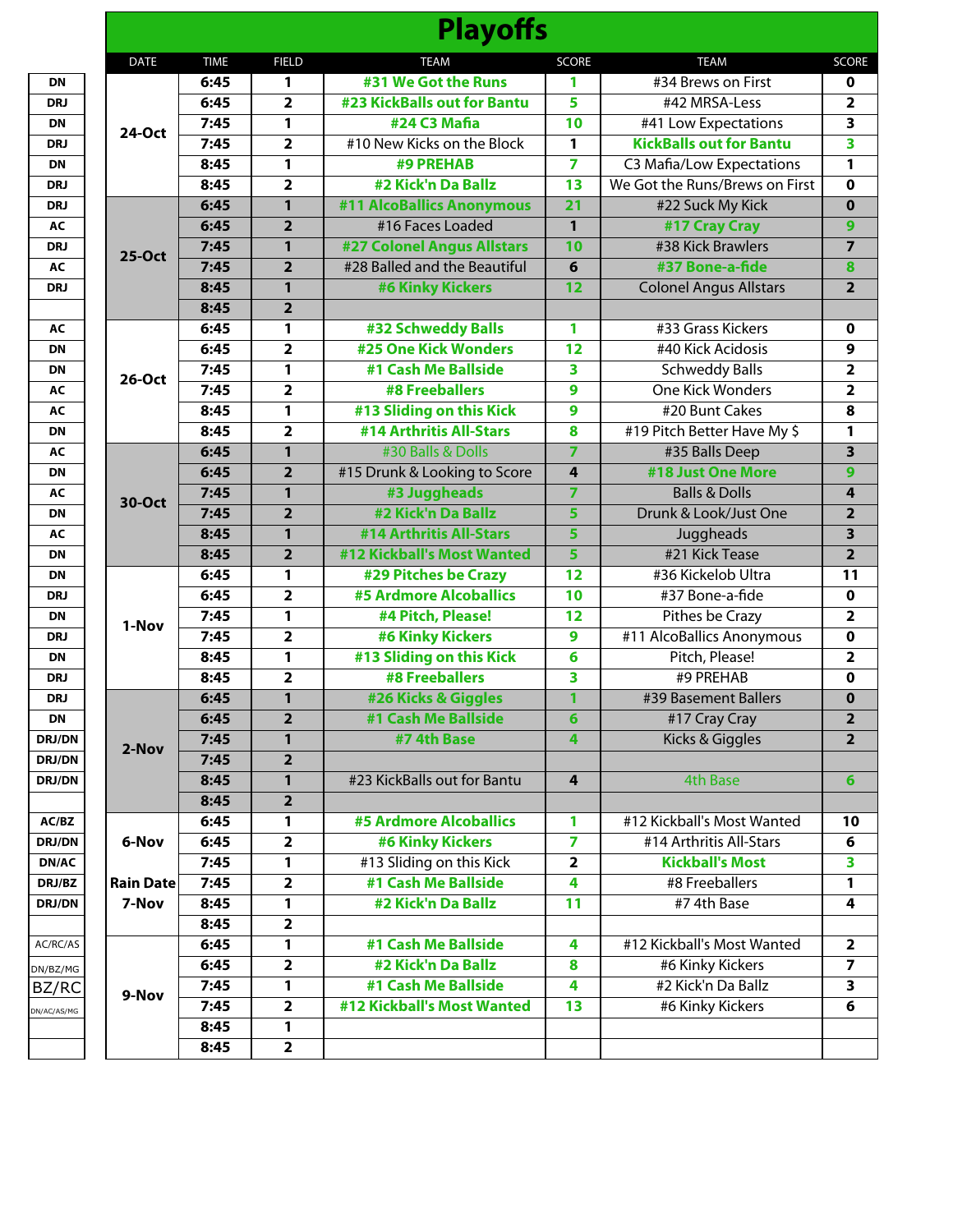|                  |             |                         | <b>Playoffs</b>                    |                 |                                |                         |
|------------------|-------------|-------------------------|------------------------------------|-----------------|--------------------------------|-------------------------|
| <b>DATE</b>      | <b>TIME</b> | <b>FIELD</b>            | <b>TEAM</b>                        | <b>SCORE</b>    | <b>TEAM</b>                    | <b>SCORE</b>            |
|                  | 6:45        | $\mathbf{1}$            | #31 We Got the Runs                | 1               | #34 Brews on First             | 0                       |
|                  | 6:45        | $\overline{2}$          | <b>#23 KickBalls out for Bantu</b> | 5               | #42 MRSA-Less                  | 2                       |
| <b>24-Oct</b>    | 7:45        | 1                       | #24 C3 Mafia                       | 10              | #41 Low Expectations           | 3                       |
|                  | 7:45        | $\overline{\mathbf{2}}$ | #10 New Kicks on the Block         | 1               | <b>KickBalls out for Bantu</b> | 3                       |
|                  | 8:45        | $\mathbf{1}$            | <b>#9 PREHAB</b>                   | 7               | C3 Mafia/Low Expectations      | 1                       |
|                  | 8:45        | $\overline{2}$          | #2 Kick'n Da Ballz                 | 13              | We Got the Runs/Brews on First | $\mathbf 0$             |
|                  | 6:45        | $\mathbf{1}$            | #11 AlcoBallics Anonymous          | $\overline{21}$ | #22 Suck My Kick               | $\mathbf 0$             |
|                  | 6:45        | $\overline{2}$          | #16 Faces Loaded                   | $\mathbf{1}$    | #17 Cray Cray                  | 9                       |
| 25-Oct           | 7:45        | 1                       | <b>#27 Colonel Angus Allstars</b>  | 10              | #38 Kick Brawlers              | $\overline{7}$          |
|                  | 7:45        | $\overline{2}$          | #28 Balled and the Beautiful       | 6               | #37 Bone-a-fide                | 8                       |
|                  | 8:45        | $\mathbf{1}$            | <b>#6 Kinky Kickers</b>            | 12              | <b>Colonel Angus Allstars</b>  | $\overline{2}$          |
|                  | 8:45        | $\overline{2}$          |                                    |                 |                                |                         |
|                  | 6:45        | 1                       | #32 Schweddy Balls                 | 1               | #33 Grass Kickers              | 0                       |
|                  | 6:45        | $\overline{\mathbf{2}}$ | <b>#25 One Kick Wonders</b>        | 12              | #40 Kick Acidosis              | 9                       |
| $26-Oct$         | 7:45        | 1                       | #1 Cash Me Ballside                | 3               | <b>Schweddy Balls</b>          | 2                       |
|                  | 7:45        | $\overline{2}$          | <b>#8 Freeballers</b>              | 9               | <b>One Kick Wonders</b>        | 2                       |
|                  | 8:45        | $\mathbf{1}$            | #13 Sliding on this Kick           | 9               | #20 Bunt Cakes                 | $\overline{\mathbf{8}}$ |
|                  | 8:45        | $\overline{2}$          | #14 Arthritis All-Stars            | 8               | #19 Pitch Better Have My \$    | 1                       |
|                  | 6:45        | $\mathbf{1}$            | #30 Balls & Dolls                  | $\overline{7}$  | #35 Balls Deep                 | 3                       |
|                  | 6:45        | $\overline{2}$          | #15 Drunk & Looking to Score       | 4               | #18 Just One More              | 9                       |
| 30-Oct           | 7:45        | 1                       | #3 Juggheads                       | 7               | <b>Balls &amp; Dolls</b>       | 4                       |
|                  | 7:45        | $\overline{2}$          | #2 Kick'n Da Ballz                 | 5               | Drunk & Look/Just One          | $\overline{2}$          |
|                  | 8:45        | $\mathbf{1}$            | #14 Arthritis All-Stars            | 5               | Juggheads                      | $\overline{\mathbf{3}}$ |
|                  | 8:45        | $\overline{2}$          | #12 Kickball's Most Wanted         | 5               | #21 Kick Tease                 | $\overline{\mathbf{2}}$ |
|                  | 6:45        | 1                       | #29 Pitches be Crazy               | 12              | #36 Kickelob Ultra             | 11                      |
|                  | 6:45        | $\overline{2}$          | <b>#5 Ardmore Alcoballics</b>      | 10              | #37 Bone-a-fide                | $\pmb{0}$               |
| 1-Nov            | 7:45        | $\mathbf{1}$            | #4 Pitch, Please!                  | $\overline{12}$ | <b>Pithes be Crazy</b>         | $\overline{\mathbf{2}}$ |
|                  | 7:45        | $\overline{2}$          | <b>#6 Kinky Kickers</b>            | 9               | #11 AlcoBallics Anonymous      | $\mathbf 0$             |
|                  | 8:45        | 1                       | #13 Sliding on this Kick           | 6               | Pitch, Please!                 | 2                       |
|                  | 8:45        | $\overline{\mathbf{2}}$ | <b>#8 Freeballers</b>              | 3               | #9 PREHAB                      | $\mathbf 0$             |
|                  | 6:45        | $\mathbf{1}$            | #26 Kicks & Giggles                | 1               | #39 Basement Ballers           | $\mathbf 0$             |
|                  | 6:45        | $\overline{2}$          | #1 Cash Me Ballside                | 6               | #17 Cray Cray                  | 2                       |
| 2-Nov            | 7:45        | 1                       | #7 4th Base                        | 4               | <b>Kicks &amp; Giggles</b>     | $\overline{2}$          |
|                  | 7:45        | $\overline{2}$          |                                    |                 |                                |                         |
|                  | 8:45        | 1                       | #23 KickBalls out for Bantu        | 4               | <b>4th Base</b>                | 6                       |
|                  | 8:45        | $\overline{2}$          |                                    |                 |                                |                         |
|                  | 6:45        | 1                       | <b>#5 Ardmore Alcoballics</b>      | 1               | #12 Kickball's Most Wanted     | 10                      |
| 6-Nov            | 6:45        | $\overline{\mathbf{2}}$ | <b>#6 Kinky Kickers</b>            | 7               | #14 Arthritis All-Stars        | 6                       |
|                  | 7:45        | 1                       | #13 Sliding on this Kick           | 2               | <b>Kickball's Most</b>         | 3                       |
| <b>Rain Date</b> | 7:45        | $\overline{\mathbf{2}}$ | #1 Cash Me Ballside                | 4               | #8 Freeballers                 | 1                       |
| 7-Nov            | 8:45        | 1                       | #2 Kick'n Da Ballz                 | 11              | #7 4th Base                    | 4                       |
|                  | 8:45        | $\overline{2}$          |                                    |                 |                                |                         |
|                  | 6:45        | 1                       | #1 Cash Me Ballside                | 4               | #12 Kickball's Most Wanted     | $\overline{\mathbf{2}}$ |
|                  | 6:45        | $\overline{\mathbf{2}}$ | #2 Kick'n Da Ballz                 | 8               | #6 Kinky Kickers               | 7                       |
| 9-Nov            | 7:45        | 1                       | #1 Cash Me Ballside                | 4               | #2 Kick'n Da Ballz             | 3                       |
|                  | 7:45        | $\overline{\mathbf{2}}$ | #12 Kickball's Most Wanted         | 13              | #6 Kinky Kickers               | 6                       |
|                  | 8:45        | 1                       |                                    |                 |                                |                         |
|                  | 8:45        | $\overline{2}$          |                                    |                 |                                |                         |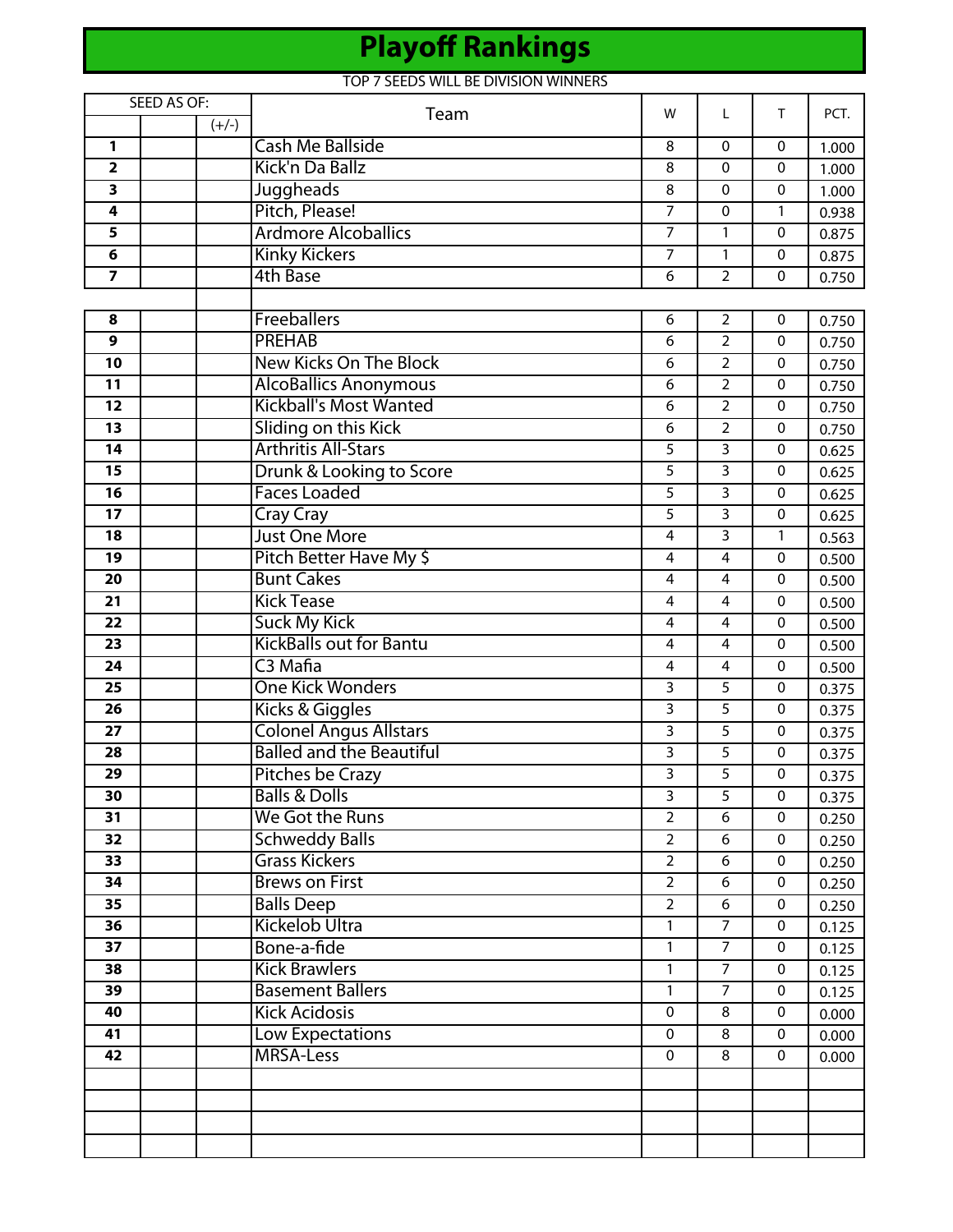# **Playoff Rankings**

#### TOP 7 SEEDS WILL BE DIVISION WINNERS

|                         | SEED AS OF: | Team                            | w              | L                       | т            | PCT.  |
|-------------------------|-------------|---------------------------------|----------------|-------------------------|--------------|-------|
|                         | $(+/-)$     |                                 |                |                         |              |       |
| 1                       |             | <b>Cash Me Ballside</b>         | 8              | 0                       | $\mathbf{0}$ | 1.000 |
| $\overline{\mathbf{2}}$ |             | Kick'n Da Ballz                 | 8              | 0                       | $\mathbf 0$  | 1.000 |
| $\overline{\mathbf{3}}$ |             | Juggheads                       | 8              | 0                       | $\mathbf 0$  | 1.000 |
| 4                       |             | Pitch, Please!                  | 7              | 0                       | 1            | 0.938 |
| 5                       |             | <b>Ardmore Alcoballics</b>      | $\overline{7}$ | 1                       | $\mathbf 0$  | 0.875 |
| 6                       |             | <b>Kinky Kickers</b>            | $\overline{7}$ | $\mathbf{1}$            | $\mathbf 0$  | 0.875 |
| 7                       |             | 4th Base                        | 6              | $\overline{2}$          | $\mathbf 0$  | 0.750 |
|                         |             |                                 |                |                         |              |       |
| 8                       |             | Freeballers                     | 6              | $\overline{2}$          | $\pmb{0}$    | 0.750 |
| 9                       |             | <b>PREHAB</b>                   | 6              | $\overline{2}$          | $\mathbf 0$  | 0.750 |
| 10                      |             | <b>New Kicks On The Block</b>   | 6              | $\overline{2}$          | 0            | 0.750 |
| 11                      |             | <b>AlcoBallics Anonymous</b>    | 6              | $\overline{2}$          | $\mathbf 0$  | 0.750 |
| $\overline{12}$         |             | <b>Kickball's Most Wanted</b>   | 6              | $\overline{2}$          | $\mathbf 0$  | 0.750 |
| 13                      |             | Sliding on this Kick            | 6              | $\overline{2}$          | 0            | 0.750 |
| $\overline{14}$         |             | <b>Arthritis All-Stars</b>      | 5              | $\overline{3}$          | $\pmb{0}$    | 0.625 |
| $\overline{15}$         |             | Drunk & Looking to Score        | 5              | $\overline{3}$          | $\mathbf{0}$ | 0.625 |
| 16                      |             | <b>Faces Loaded</b>             | 5              | 3                       | 0            | 0.625 |
| 17                      |             | <b>Cray Cray</b>                | 5              | 3                       | $\mathbf 0$  | 0.625 |
| 18                      |             | <b>Just One More</b>            | 4              | 3                       | 1            | 0.563 |
| 19                      |             | Pitch Better Have My \$         | 4              | $\overline{4}$          | $\mathbf 0$  | 0.500 |
| 20                      |             | <b>Bunt Cakes</b>               | 4              | 4                       | 0            | 0.500 |
| $\overline{21}$         |             | <b>Kick Tease</b>               | 4              | $\overline{4}$          | $\mathbf 0$  | 0.500 |
| 22                      |             | <b>Suck My Kick</b>             | 4              | 4                       | $\mathbf{0}$ | 0.500 |
| 23                      |             | <b>KickBalls out for Bantu</b>  | 4              | 4                       | $\mathbf 0$  | 0.500 |
| 24                      |             | C3 Mafia                        | 4              | $\overline{\mathbf{4}}$ | $\mathbf 0$  | 0.500 |
| 25                      |             | <b>One Kick Wonders</b>         | 3              | 5                       | $\mathbf 0$  | 0.375 |
| 26                      |             | Kicks & Giggles                 | 3              | 5                       | 0            | 0.375 |
| $\overline{27}$         |             | <b>Colonel Angus Allstars</b>   | 3              | $\overline{5}$          | $\mathbf 0$  | 0.375 |
| 28                      |             | <b>Balled and the Beautiful</b> | 3              | $\overline{5}$          | $\mathbf 0$  | 0.375 |
| 29                      |             | Pitches be Crazy                | 3              | $\overline{5}$          | 0            | 0.375 |
| 30                      |             | <b>Balls &amp; Dolls</b>        | 3              | $\overline{5}$          | 0            | 0.375 |
| 31                      |             | We Got the Runs                 | $\overline{2}$ | 6                       | $\mathbf 0$  | 0.250 |
| 32                      |             | <b>Schweddy Balls</b>           | $\overline{2}$ | 6                       | $\mathbf 0$  | 0.250 |
| 33                      |             | <b>Grass Kickers</b>            | $\overline{2}$ | 6                       | $\mathbf 0$  | 0.250 |
| 34                      |             | <b>Brews on First</b>           | $\overline{2}$ | 6                       | $\mathbf 0$  | 0.250 |
| 35                      |             | <b>Balls Deep</b>               | $\overline{2}$ | 6                       | 0            | 0.250 |
| 36                      |             | <b>Kickelob Ultra</b>           | $\mathbf{1}$   | $\overline{7}$          | $\mathbf 0$  | 0.125 |
| $\overline{37}$         |             | Bone-a-fide                     | $\mathbf{1}$   | $\overline{7}$          | $\mathbf 0$  | 0.125 |
| 38                      |             | <b>Kick Brawlers</b>            | 1              | $\overline{7}$          | $\mathbf 0$  | 0.125 |
| $\overline{39}$         |             | <b>Basement Ballers</b>         | $\mathbf{1}$   | $\overline{7}$          | $\mathbf 0$  | 0.125 |
| 40                      |             | <b>Kick Acidosis</b>            | $\mathbf 0$    | 8                       | 0            | 0.000 |
| 41                      |             | <b>Low Expectations</b>         | 0              | 8                       | $\mathbf 0$  | 0.000 |
| 42                      |             | <b>MRSA-Less</b>                | 0              | 8                       | $\mathbf 0$  | 0.000 |
|                         |             |                                 |                |                         |              |       |
|                         |             |                                 |                |                         |              |       |
|                         |             |                                 |                |                         |              |       |
|                         |             |                                 |                |                         |              |       |
|                         |             |                                 |                |                         |              |       |